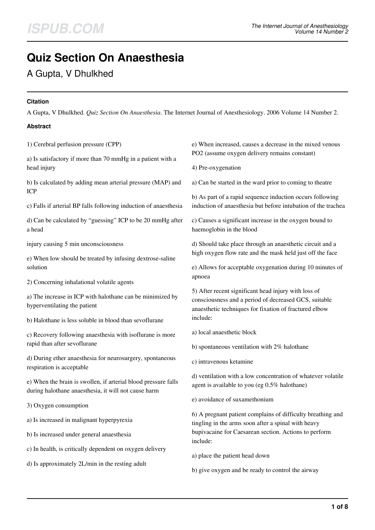# **Quiz Section On Anaesthesia**

A Gupta, V Dhulkhed

## **Citation**

A Gupta, V Dhulkhed. *Quiz Section On Anaesthesia*. The Internet Journal of Anesthesiology. 2006 Volume 14 Number 2.

# **Abstract**

1) Cerebral perfusion pressure (CPP)

a) Is satisfactory if more than 70 mmHg in a patient with a head injury

b) Is calculated by adding mean arterial pressure (MAP) and ICP

c) Falls if arterial BP falls following induction of anaesthesia

d) Can be calculated by "guessing" ICP to be 20 mmHg after a head

injury causing 5 min unconsciousness

e) When low should be treated by infusing dextrose-saline solution

2) Concerning inhalational volatile agents

a) The increase in ICP with halothane can be minimized by hyperventilating the patient

b) Halothane is less soluble in blood than sevoflurane

c) Recovery following anaesthesia with isoflurane is more rapid than after sevoflurane

d) During ether anaesthesia for neurosurgery, spontaneous respiration is acceptable

e) When the brain is swollen, if arterial blood pressure falls during halothane anaesthesia, it will not cause harm

3) Oxygen consumption

a) Is increased in malignant hyperpyrexia

b) Is increased under general anaesthesia

c) In health, is critically dependent on oxygen delivery

d) Is approximately 2L/min in the resting adult

e) When increased, causes a decrease in the mixed venous PO2 (assume oxygen delivery remains constant)

4) Pre-oxygenation

a) Can be started in the ward prior to coming to theatre

b) As part of a rapid sequence induction occurs following induction of anaesthesia but before intubation of the trachea

c) Causes a significant increase in the oxygen bound to haemoglobin in the blood

d) Should take place through an anaesthetic circuit and a high oxygen flow rate and the mask held just off the face

e) Allows for acceptable oxygenation during 10 minutes of apnoea

5) After recent significant head injury with loss of consciousness and a period of decreased GCS, suitable anaesthetic techniques for fixation of fractured elbow include:

a) local anaesthetic block

b) spontaneous ventilation with 2% halothane

c) intravenous ketamine

d) ventilation with a low concentration of whatever volatile agent is available to you (eg 0.5% halothane)

e) avoidance of suxamethonium

6) A pregnant patient complains of difficulty breathing and tingling in the arms soon after a spinal with heavy bupivacaine for Caesarean section. Actions to perform include:

- a) place the patient head down
- b) give oxygen and be ready to control the airway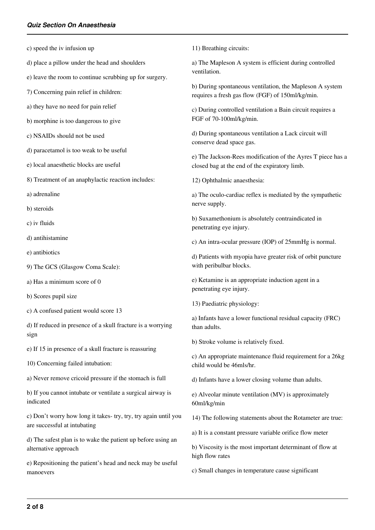- c) speed the iv infusion up
- d) place a pillow under the head and shoulders
- e) leave the room to continue scrubbing up for surgery.
- 7) Concerning pain relief in children:
- a) they have no need for pain relief
- b) morphine is too dangerous to give
- c) NSAIDs should not be used
- d) paracetamol is too weak to be useful
- e) local anaesthetic blocks are useful
- 8) Treatment of an anaphylactic reaction includes:
- a) adrenaline
- b) steroids
- c) iv fluids
- d) antihistamine
- e) antibiotics
- 9) The GCS (Glasgow Coma Scale):
- a) Has a minimum score of 0
- b) Scores pupil size
- c) A confused patient would score 13
- d) If reduced in presence of a skull fracture is a worrying sign
- e) If 15 in presence of a skull fracture is reassuring
- 10) Concerning failed intubation:
- a) Never remove cricoid pressure if the stomach is full
- b) If you cannot intubate or ventilate a surgical airway is indicated
- c) Don't worry how long it takes- try, try, try again until you are successful at intubating
- d) The safest plan is to wake the patient up before using an alternative approach
- e) Repositioning the patient's head and neck may be useful manoevers
- 11) Breathing circuits:
- a) The Mapleson A system is efficient during controlled ventilation.
- b) During spontaneous ventilation, the Mapleson A system requires a fresh gas flow (FGF) of 150ml/kg/min.
- c) During controlled ventilation a Bain circuit requires a FGF of 70-100ml/kg/min.
- d) During spontaneous ventilation a Lack circuit will conserve dead space gas.
- e) The Jackson-Rees modification of the Ayres T piece has a closed bag at the end of the expiratory limb.
- 12) Ophthalmic anaesthesia:
- a) The oculo-cardiac reflex is mediated by the sympathetic nerve supply.
- b) Suxamethonium is absolutely contraindicated in penetrating eye injury.
- c) An intra-ocular pressure (IOP) of 25mmHg is normal.
- d) Patients with myopia have greater risk of orbit puncture with peribulbar blocks.
- e) Ketamine is an appropriate induction agent in a penetrating eye injury.
- 13) Paediatric physiology:
- a) Infants have a lower functional residual capacity (FRC) than adults.
- b) Stroke volume is relatively fixed.
- c) An appropriate maintenance fluid requirement for a 26kg child would be 46mls/hr.
- d) Infants have a lower closing volume than adults.
- e) Alveolar minute ventilation (MV) is approximately 60ml/kg/min
- 14) The following statements about the Rotameter are true:
- a) It is a constant pressure variable orifice flow meter
- b) Viscosity is the most important determinant of flow at high flow rates
- c) Small changes in temperature cause significant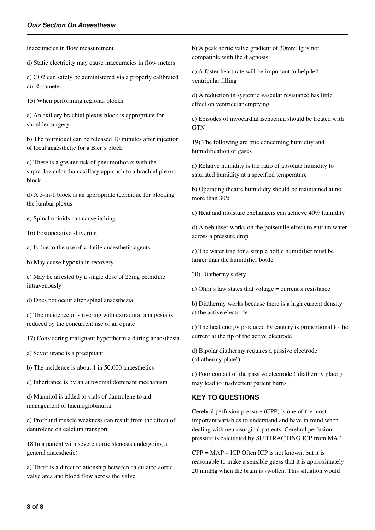inaccuracies in flow measurement

d) Static electricity may cause inaccuracies in flow meters

e) CO2 can safely be administered via a properly calibrated air Rotameter.

15) When performing regional blocks:

a) An axillary brachial plexus block is appropriate for shoulder surgery

b) The tourniquet can be released 10 minutes after injection of local anaesthetic for a Bier's block

c) There is a greater risk of pneumothorax with the supraclavicular than axillary approach to a brachial plexus block

d) A 3-in-1 block is an appropriate technique for blocking the lumbar plexus

e) Spinal opioids can cause itching.

16) Postoperative shivering

a) Is due to the use of volatile anaesthetic agents

b) May cause hypoxia in recovery

c) May be arrested by a single dose of 25mg pethidine intravenously

d) Does not occur after spinal anaesthesia

e) The incidence of shivering with extradural analgesia is reduced by the concurrent use of an opiate

17) Considering malignant hyperthermia during anaesthesia

a) Sevoflurane is a precipitant

b) The incidence is about 1 in 50,000 anaesthetics

c) Inheritance is by an autosomal dominant mechanism

d) Mannitol is added to vials of dantrolene to aid management of haemoglobinuria

e) Profound muscle weakness can result from the effect of dantrolene on calcium transport

18 In a patient with severe aortic stenosis undergoing a general anaesthetic)

a) There is a direct relationship between calculated aortic valve area and blood flow across the valve

b) A peak aortic valve gradient of 30mmHg is not compatible with the diagnosis

c) A faster heart rate will be important to help left ventricular filling

d) A reduction in systemic vascular resistance has little effect on ventricular emptying

e) Episodes of myocardial ischaemia should be treated with **GTN** 

19) The following are true concerning humidity and humidification of gases

a) Relative humidity is the ratio of absolute humidity to saturated humidity at a specified temperature

b) Operating theatre humididty should be maintained at no more than 30%

c) Heat and moisture exchangers can achieve 40% humidity

d) A nebuliser works on the poiseuille effect to entrain water across a pressure drop

e) The water trap for a simple bottle humidifier must be larger than the humidifier bottle

20) Diathermy safety

a) Ohm's law states that voltage = current x resistance

b) Diathermy works because there is a high current density at the active electrode

c) The heat energy produced by cautery is proportional to the current at the tip of the active electrode

d) Bipolar diathermy requires a passive electrode ('diathermy plate')

e) Poor contact of the passive electrode ('diathermy plate') may lead to inadvertent patient burns

#### **KEY TO QUESTIONS**

Cerebral perfusion pressure (CPP) is one of the most important variables to understand and have in mind when dealing with neurosurgical patients. Cerebral perfusion pressure is calculated by SUBTRACTING ICP from MAP.

 $CPP = MAP - ICP$  Often ICP is not known, but it is reasonable to make a sensible guess that it is approximately 20 mmHg when the brain is swollen. This situation would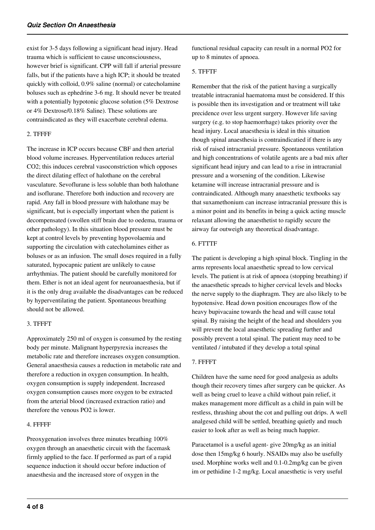exist for 3-5 days following a significant head injury. Head trauma which is sufficient to cause unconsciousness, however brief is significant. CPP will fall if arterial pressure falls, but if the patients have a high ICP; it should be treated quickly with colloid, 0.9% saline (normal) or catecholamine boluses such as ephedrine 3-6 mg. It should never be treated with a potentially hypotonic glucose solution (5% Dextrose or 4% Dextrose/0.18% Saline). These solutions are contraindicated as they will exacerbate cerebral edema.

## 2. TFFFF

The increase in ICP occurs because CBF and then arterial blood volume increases. Hyperventilation reduces arterial CO2; this induces cerebral vasoconstriction which opposes the direct dilating effect of halothane on the cerebral vasculature. Sevoflurane is less soluble than both halothane and isoflurane. Therefore both induction and recovery are rapid. Any fall in blood pressure with halothane may be significant, but is especially important when the patient is decompensated (swollen stiff brain due to oedema, trauma or other pathology). In this situation blood pressure must be kept at control levels by preventing hypovolaemia and supporting the circulation with catecholamines either as boluses or as an infusion. The small doses required in a fully saturated, hypocapnic patient are unlikely to cause arrhythmias. The patient should be carefully monitored for them. Ether is not an ideal agent for neuroanaesthesia, but if it is the only drug available the disadvantages can be reduced by hyperventilating the patient. Spontaneous breathing should not be allowed.

#### 3. TFFFT

Approximately 250 ml of oxygen is consumed by the resting body per minute. Malignant hyperpyrexia increases the metabolic rate and therefore increases oxygen consumption. General anaesthesia causes a reduction in metabolic rate and therefore a reduction in oxygen consumption. In health, oxygen consumption is supply independent. Increased oxygen consumption causes more oxygen to be extracted from the arterial blood (increased extraction ratio) and therefore the venous PO2 is lower.

#### 4. FFFFF

Preoxygenation involves three minutes breathing 100% oxygen through an anaesthetic circuit with the facemask firmly applied to the face. If performed as part of a rapid sequence induction it should occur before induction of anaesthesia and the increased store of oxygen in the

functional residual capacity can result in a normal PO2 for up to 8 minutes of apnoea.

# 5. TFFTF

Remember that the risk of the patient having a surgically treatable intracranial haematoma must be considered. If this is possible then its investigation and or treatment will take precidence over less urgent surgery. However life saving surgery (e.g. to stop haemorrhage) takes priority over the head injury. Local anaesthesia is ideal in this situation though spinal anaesthesia is contraindicatied if there is any risk of raised intracranial pressure. Spontaneous ventilation and high concentrations of volatile agents are a bad mix after significant head injury and can lead to a rise in intracranial pressure and a worsening of the condition. Likewise ketamine will increase intracranial pressure and is contraindicated. Although many anaesthetic textbooks say that suxamethonium can increase intracranial pressure this is a minor point and its benefits in being a quick acting muscle relaxant allowing the anaesthetist to rapidly secure the airway far outweigh any theoretical disadvantage.

## 6. FTTTF

The patient is developing a high spinal block. Tingling in the arms represents local anaesthetic spread to low cervical levels. The patient is at risk of apnoea (stopping breathing) if the anaesthetic spreads to higher cervical levels and blocks the nerve supply to the diaphragm. They are also likely to be hypotensive. Head down position encourages flow of the heavy bupivacaine towards the head and will cause total spinal. By raising the height of the head and shoulders you will prevent the local anaesthetic spreading further and possibly prevent a total spinal. The patient may need to be ventilated / intubated if they develop a total spinal

#### 7. FFFFT

Children have the same need for good analgesia as adults though their recovery times after surgery can be quicker. As well as being cruel to leave a child without pain relief, it makes management more difficult as a child in pain will be restless, thrashing about the cot and pulling out drips. A well analgesed child will be settled, breathing quietly and much easier to look after as well as being much happier.

Paracetamol is a useful agent- give 20mg/kg as an initial dose then 15mg/kg 6 hourly. NSAIDs may also be usefully used. Morphine works well and 0.1-0.2mg/kg can be given im or pethidine 1-2 mg/kg. Local anaesthetic is very useful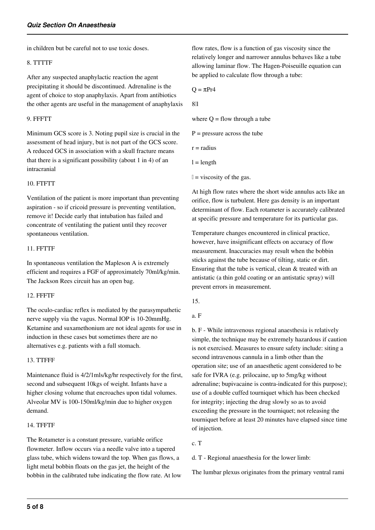in children but be careful not to use toxic doses.

#### 8. TTTTF

After any suspected anaphylactic reaction the agent precipitating it should be discontinued. Adrenaline is the agent of choice to stop anaphylaxis. Apart from antibiotics the other agents are useful in the management of anaphylaxis

#### 9. FFFTT

Minimum GCS score is 3. Noting pupil size is crucial in the assessment of head injury, but is not part of the GCS score. A reduced GCS in association with a skull fracture means that there is a significant possibility (about 1 in 4) of an intracranial

#### 10. FTFTT

Ventilation of the patient is more important than preventing aspiration - so if cricoid pressure is preventing ventilation, remove it! Decide early that intubation has failed and concentrate of ventilating the patient until they recover spontaneous ventilation.

#### 11. FFTTF

In spontaneous ventilation the Mapleson A is extremely efficient and requires a FGF of approximately 70ml/kg/min. The Jackson Rees circuit has an open bag.

#### 12. FFFTF

The oculo-cardiac reflex is mediated by the parasympathetic nerve supply via the vagus. Normal IOP is 10-20mmHg. Ketamine and suxamethonium are not ideal agents for use in induction in these cases but sometimes there are no alternatives e.g. patients with a full stomach.

#### 13. TTFFF

Maintenance fluid is 4/2/1mls/kg/hr respectively for the first, second and subsequent 10kgs of weight. Infants have a higher closing volume that encroaches upon tidal volumes. Alveolar MV is 100-150ml/kg/min due to higher oxygen demand.

#### 14. TFFTF

The Rotameter is a constant pressure, variable orifice flowmeter. Inflow occurs via a needle valve into a tapered glass tube, which widens toward the top. When gas flows, a light metal bobbin floats on the gas jet, the height of the bobbin in the calibrated tube indicating the flow rate. At low flow rates, flow is a function of gas viscosity since the relatively longer and narrower annulus behaves like a tube allowing laminar flow. The Hagen-Poiseuille equation can be applied to calculate flow through a tube:

 $Q = \pi Pr4$ 

8ηl

where  $Q =$  flow through a tube

 $P =$  pressure across the tube

 $r =$  radius

 $l = length$ 

 $l = \text{viscosity of the gas.}$ 

At high flow rates where the short wide annulus acts like an orifice, flow is turbulent. Here gas density is an important determinant of flow. Each rotameter is accurately calibrated at specific pressure and temperature for its particular gas.

Temperature changes encountered in clinical practice, however, have insignificant effects on accuracy of flow measurement. Inaccuracies may result when the bobbin sticks against the tube because of tilting, static or dirt. Ensuring that the tube is vertical, clean & treated with an antistatic (a thin gold coating or an antistatic spray) will prevent errors in measurement.

15.

#### a. F

b. F - While intravenous regional anaesthesia is relatively simple, the technique may be extremely hazardous if caution is not exercised. Measures to ensure safety include: siting a second intravenous cannula in a limb other than the operation site; use of an anaesthetic agent considered to be safe for IVRA (e.g. prilocaine, up to 5mg/kg without adrenaline; bupivacaine is contra-indicated for this purpose); use of a double cuffed tourniquet which has been checked for integrity; injecting the drug slowly so as to avoid exceeding the pressure in the tourniquet; not releasing the tourniquet before at least 20 minutes have elapsed since time of injection.

c. T

d. T - Regional anaesthesia for the lower limb:

The lumbar plexus originates from the primary ventral rami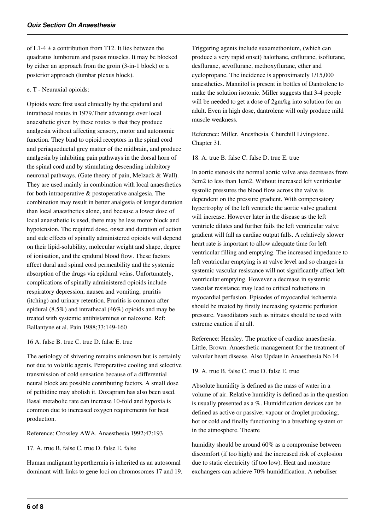of L1-4  $\pm$  a contribution from T12. It lies between the quadratus lumborum and psoas muscles. It may be blocked by either an approach from the groin (3-in-1 block) or a posterior approach (lumbar plexus block).

#### e. T - Neuraxial opioids:

Opioids were first used clinically by the epidural and intrathecal routes in 1979.Their advantage over local anaesthetic given by these routes is that they produce analgesia without affecting sensory, motor and autonomic function. They bind to opioid receptors in the spinal cord and periaqueductal grey matter of the midbrain, and produce analgesia by inhibiting pain pathways in the dorsal horn of the spinal cord and by stimulating descending inhibitory neuronal pathways. (Gate theory of pain, Melzack & Wall). They are used mainly in combination with local anaesthetics for both intraoperative  $\&$  postoperative analgesia. The combination may result in better analgesia of longer duration than local anaesthetics alone, and because a lower dose of local anaesthetic is used, there may be less motor block and hypotension. The required dose, onset and duration of action and side effects of spinally administered opioids will depend on their lipid-solubility, molecular weight and shape, degree of ionisation, and the epidural blood flow. These factors affect dural and spinal cord permeability and the systemic absorption of the drugs via epidural veins. Unfortunately, complications of spinally administered opioids include respiratory depression, nausea and vomiting, pruritis (itching) and urinary retention. Pruritis is common after epidural (8.5%) and intrathecal (46%) opioids and may be treated with systemic antihistamines or naloxone. Ref: Ballantyne et al. Pain 1988;33:149-160

### 16 A. false B. true C. true D. false E. true

The aetiology of shivering remains unknown but is certainly not due to volatile agents. Peroperative cooling and selective transmission of cold sensation because of a differential neural block are possible contributing factors. A small dose of pethidine may abolish it. Doxapram has also been used. Basal metabolic rate can increase 10-fold and hypoxia is common due to increased oxygen requirements for heat production.

#### Reference: Crossley AWA. Anaesthesia 1992;47:193

#### 17. A. true B. false C. true D. false E. false

Human malignant hyperthermia is inherited as an autosomal dominant with links to gene loci on chromosomes 17 and 19. Triggering agents include suxamethonium, (which can produce a very rapid onset) halothane, enflurane, isoflurane, desflurane, sevoflurane, methoxyflurane, ether and cyclopropane. The incidence is approximately 1/15,000 anaesthetics. Mannitol is present in bottles of Dantrolene to make the solution isotonic. Miller suggests that 3-4 people will be needed to get a dose of 2gm/kg into solution for an adult. Even in high dose, dantrolene will only produce mild muscle weakness.

Reference: Miller. Anesthesia. Churchill Livingstone. Chapter 31.

18. A. true B. false C. false D. true E. true

In aortic stenosis the normal aortic valve area decreases from 3cm2 to less than 1cm2. Without increased left ventricular systolic pressures the blood flow across the valve is dependent on the pressure gradient. With compensatory hypertrophy of the left ventricle the aortic valve gradient will increase. However later in the disease as the left ventricle dilates and further fails the left ventricular valve gradient will fall as cardiac output falls. A relatively slower heart rate is important to allow adequate time for left ventricular filling and emptying. The increased impedance to left ventricular emptying is at valve level and so changes in systemic vascular resistance will not significantly affect left ventricular emptying. However a decrease in systemic vascular resistance may lead to critical reductions in myocardial perfusion. Episodes of myocardial ischaemia should be treated by firstly increasing systemic perfusion pressure. Vasodilators such as nitrates should be used with extreme caution if at all.

Reference: Hensley. The practice of cardiac anaesthesia. Little, Brown. Anaesthetic management for the treatment of valvular heart disease. Also Update in Anaesthesia No 14

### 19. A. true B. false C. true D. false E. true

Absolute humidity is defined as the mass of water in a volume of air. Relative humidity is defined as in the question is usually presented as a %. Humidification devices can be defined as active or passive; vapour or droplet producing; hot or cold and finally functioning in a breathing system or in the atmosphere. Theatre

humidity should be around 60% as a compromise between discomfort (if too high) and the increased risk of explosion due to static electricity (if too low). Heat and moisture exchangers can achieve 70% humidification. A nebuliser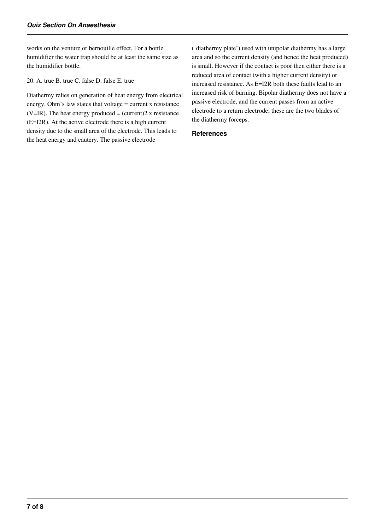works on the venture or bernouille effect. For a bottle humidifier the water trap should be at least the same size as the humidifier bottle.

20. A. true B. true C. false D. false E. true

Diathermy relies on generation of heat energy from electrical energy. Ohm's law states that voltage = current x resistance (V=IR). The heat energy produced = (current) $2 \times$  resistance (E=I2R). At the active electrode there is a high current density due to the small area of the electrode. This leads to the heat energy and cautery. The passive electrode

('diathermy plate') used with unipolar diathermy has a large area and so the current density (and hence the heat produced) is small. However if the contact is poor then either there is a reduced area of contact (with a higher current density) or increased resistance. As E=I2R both these faults lead to an increased risk of burning. Bipolar diathermy does not have a passive electrode, and the current passes from an active electrode to a return electrode; these are the two blades of the diathermy forceps.

#### **References**